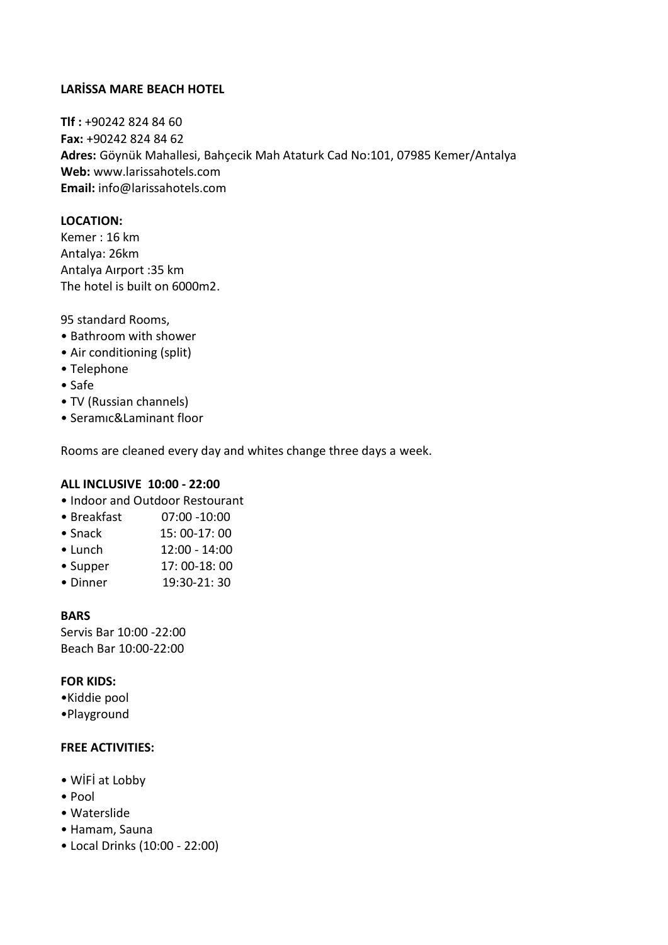# **LARİSSA MARE BEACH HOTEL**

**Tlf :** +90242 824 84 60 **Fax:** +90242 824 84 62 **Adres:** Göynük Mahallesi, Bahçecik Mah Ataturk Cad No:101, 07985 Kemer/Antalya **Web:** www.larissahotels.com **Email:** info@larissahotels.com

### **LOCATION:**

Kemer : 16 km Antalya: 26km Antalya Aırport :35 km The hotel is built on 6000m2.

95 standard Rooms,

- Bathroom with shower
- Air conditioning (split)
- Telephone
- Safe
- TV (Russian channels)
- Seramıc&Laminant floor

Rooms are cleaned every day and whites change three days a week.

### **ALL INCLUSIVE 10:00 - 22:00**

- Indoor and Outdoor Restourant
- Breakfast 07:00 -10:00
- Snack 15: 00-17: 00
- Lunch 12:00 14:00
- Supper 17: 00-18: 00
- Dinner 19:30-21: 30

### **BARS**

Servis Bar 10:00 -22:00 Beach Bar 10:00-22:00

## **FOR KIDS:**

- •Kiddie pool
- •Playground

## **FREE ACTIVITIES:**

- WİFİ at Lobby
- Pool
- Waterslide
- Hamam, Sauna
- Local Drinks (10:00 22:00)